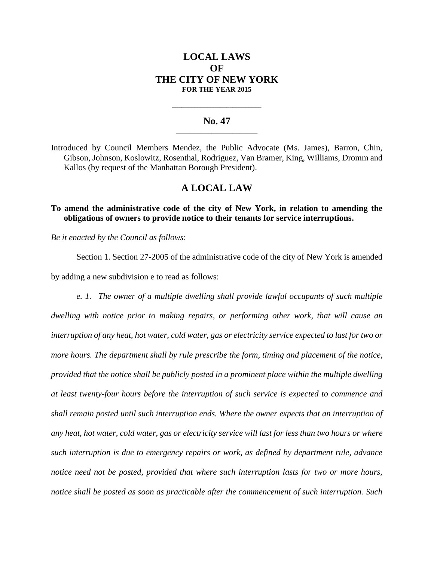# **LOCAL LAWS OF THE CITY OF NEW YORK FOR THE YEAR 2015**

### **No. 47 \_\_\_\_\_\_\_\_\_\_\_\_\_\_\_\_\_\_\_\_\_\_\_**

**\_\_\_\_\_\_\_\_\_\_\_\_\_\_\_\_\_\_\_\_\_\_\_\_\_\_\_\_**

Introduced by Council Members Mendez, the Public Advocate (Ms. James), Barron, Chin, Gibson, Johnson, Koslowitz, Rosenthal, Rodriguez, Van Bramer, King, Williams, Dromm and Kallos (by request of the Manhattan Borough President).

## **A LOCAL LAW**

**To amend the administrative code of the city of New York, in relation to amending the obligations of owners to provide notice to their tenants for service interruptions.**

*Be it enacted by the Council as follows*:

Section 1. Section 27-2005 of the administrative code of the city of New York is amended by adding a new subdivision e to read as follows:

*e. 1. The owner of a multiple dwelling shall provide lawful occupants of such multiple dwelling with notice prior to making repairs, or performing other work, that will cause an interruption of any heat, hot water, cold water, gas or electricity service expected to last for two or more hours. The department shall by rule prescribe the form, timing and placement of the notice, provided that the notice shall be publicly posted in a prominent place within the multiple dwelling at least twenty-four hours before the interruption of such service is expected to commence and shall remain posted until such interruption ends. Where the owner expects that an interruption of any heat, hot water, cold water, gas or electricity service will last for less than two hours or where such interruption is due to emergency repairs or work, as defined by department rule, advance notice need not be posted, provided that where such interruption lasts for two or more hours, notice shall be posted as soon as practicable after the commencement of such interruption. Such*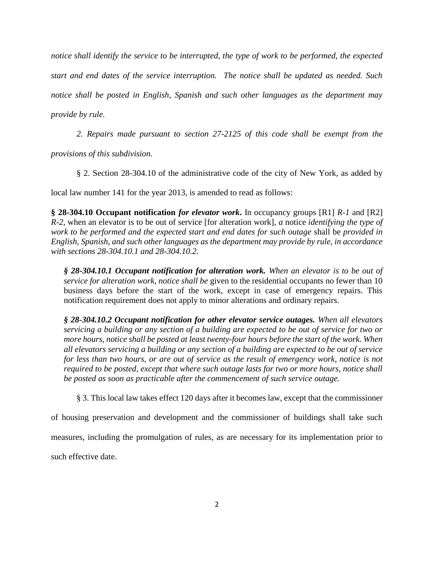*notice shall identify the service to be interrupted, the type of work to be performed, the expected start and end dates of the service interruption. The notice shall be updated as needed. Such notice shall be posted in English, Spanish and such other languages as the department may provide by rule.*

*2. Repairs made pursuant to section 27-2125 of this code shall be exempt from the* 

*provisions of this subdivision.*

§ 2. Section 28-304.10 of the administrative code of the city of New York, as added by

local law number 141 for the year 2013, is amended to read as follows:

**§ 28-304.10 Occupant notification** *for elevator work***.** In occupancy groups [R1] *R-1* and [R2] *R-2,* when an elevator is to be out of service [for alteration work], *a* notice *identifying the type of work to be performed and the expected start and end dates for such outage* shall be *provided in English, Spanish, and such other languages as the department may provide by rule, in accordance with sections 28-304.10.1 and 28-304.10.2.*

*§ 28-304.10.1 Occupant notification for alteration work. When an elevator is to be out of service for alteration work, notice shall be* given to the residential occupants no fewer than 10 business days before the start of the work, except in case of emergency repairs. This notification requirement does not apply to minor alterations and ordinary repairs.

*§ 28-304.10.2 Occupant notification for other elevator service outages. When all elevators servicing a building or any section of a building are expected to be out of service for two or more hours, notice shall be posted at least twenty-four hours before the start of the work. When all elevators servicing a building or any section of a building are expected to be out of service for less than two hours, or are out of service as the result of emergency work, notice is not required to be posted, except that where such outage lasts for two or more hours, notice shall be posted as soon as practicable after the commencement of such service outage.*

§ 3. This local law takes effect 120 days after it becomes law, except that the commissioner

of housing preservation and development and the commissioner of buildings shall take such

measures, including the promulgation of rules, as are necessary for its implementation prior to

such effective date.